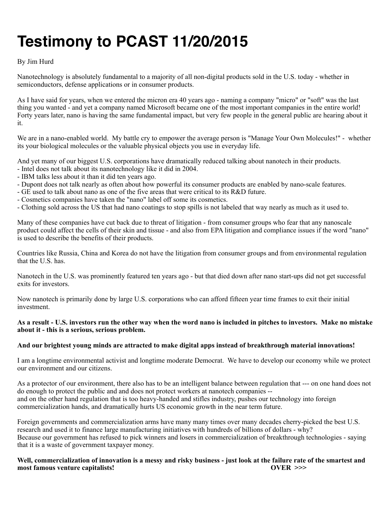# **Testimony to PCAST 11/20/2015**

# By Jim Hurd

Nanotechnology is absolutely fundamental to a majority of all non-digital products sold in the U.S. today - whether in semiconductors, defense applications or in consumer products.

As I have said for years, when we entered the micron era 40 years ago - naming a company "micro" or "soft" was the last thing you wanted - and yet a company named Microsoft became one of the most important companies in the entire world! Forty years later, nano is having the same fundamental impact, but very few people in the general public are hearing about it it.

We are in a nano-enabled world. My battle cry to empower the average person is "Manage Your Own Molecules!" - whether its your biological molecules or the valuable physical objects you use in everyday life.

And yet many of our biggest U.S. corporations have dramatically reduced talking about nanotech in their products.

- Intel does not talk about its nanotechnology like it did in 2004.
- IBM talks less about it than it did ten years ago.
- Dupont does not talk nearly as often about how powerful its consumer products are enabled by nano-scale features.
- GE used to talk about nano as one of the five areas that were critical to its R&D future.
- Cosmetics companies have taken the "nano" label off some its cosmetics.
- Clothing sold across the US that had nano coatings to stop spills is not labeled that way nearly as much as it used to.

Many of these companies have cut back due to threat of litigation - from consumer groups who fear that any nanoscale product could affect the cells of their skin and tissue - and also from EPA litigation and compliance issues if the word "nano" is used to describe the benefits of their products.

Countries like Russia, China and Korea do not have the litigation from consumer groups and from environmental regulation that the U.S. has.

Nanotech in the U.S. was prominently featured ten years ago - but that died down after nano start-ups did not get successful exits for investors.

Now nanotech is primarily done by large U.S. corporations who can afford fifteen year time frames to exit their initial investment.

## **As a result - U.S. investors run the other way when the word nano is included in pitches to investors. Make no mistake about it - this is a serious, serious problem.**

# **And our brightest young minds are attracted to make digital apps instead of breakthrough material innovations!**

I am a longtime environmental activist and longtime moderate Democrat. We have to develop our economy while we protect our environment and our citizens.

As a protector of our environment, there also has to be an intelligent balance between regulation that --- on one hand does not do enough to protect the public and and does not protect workers at nanotech companies - and on the other hand regulation that is too heavy-handed and stifles industry, pushes our technology into foreign commercialization hands, and dramatically hurts US economic growth in the near term future.

Foreign governments and commercialization arms have many many times over many decades cherry-picked the best U.S. research and used it to finance large manufacturing initiatives with hundreds of billions of dollars - why? Because our government has refused to pick winners and losers in commercialization of breakthrough technologies - saying that it is a waste of government taxpayer money.

Well, commercialization of innovation is a messy and risky business - just look at the failure rate of the smartest and <br> **OVER** >>> most famous venture capitalists!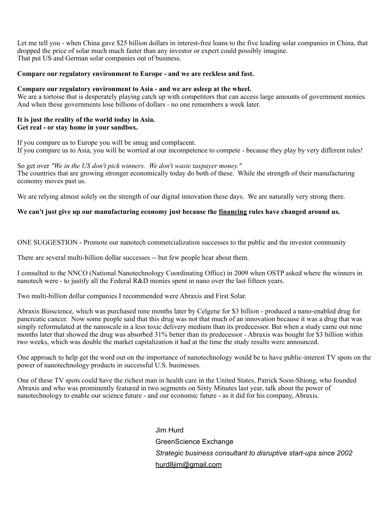Let me tell you - when China gave \$25 billion dollars in interest-free loans to the five leading solar companies in China, that dropped the price of solar much much faster than any investor or expert could possibly imagine. That put US and German solar companies out of business.

#### **Compare our regulatory environment to Europe - and we are reckless and fast.**

#### **Compare our regulatory environment to Asia - and we are asleep at the wheel.**

We are a tortoise that is desperately playing catch up with competitors that can access large amounts of government monies. And when these governments lose billions of dollars - no one remembers a week later.

#### **It is just the reality of the world today in Asia. Get real - or stay home in your sandbox.**

If you compare us to Europe you will be smug and complacent. If you compare us to Asia, you will be worried at our incompetence to compete - because they play by very different rules!

So get over *"We in the US don't pick winners. We don't waste taxpayer money."*  The countries that are growing stronger economically today do both of these. While the strength of their manufacturing economy moves past us.

We are relying almost solely on the strength of our digital innovation these days. We are naturally very strong there.

## We can't just give up our manufacturing economy just because the <u>financing</u> rules have changed around us.

ONE SUGGESTION - Promote our nanotech commercialization successes to the public and the investor community

There are several multi-billion dollar successes -- but few people hear about them.

I consulted to the NNCO (National Nanotechnology Coordinating Office) in 2009 when OSTP asked where the winners in nanotech were - to justify all the Federal R&D monies spent in nano over the last fifteen years.

Two multi-billion dollar companies I recommended were Abraxis and First Solar.

Abraxis Bioscience, which was purchased nine months later by Celgene for \$3 billion - produced a nano-enabled drug for pancreatic cancer. Now some people said that this drug was not that much of an innovation because it was a drug that was simply reformulated at the nanoscale in a less toxic delivery medium than its predecessor. But when a study came out nine months later that showed the drug was absorbed 31% better than its predecessor - Abraxis was bought for \$3 billion within two weeks, which was double the market capitalization it had at the time the study results were announced.

One approach to help get the word out on the importance of nanotechnology would be to have public-interest TV spots on the power of nanotechnology products in successful U.S. businesses.

One of these TV spots could have the richest man in health care in the United States, Patrick Soon-Shiong, who founded Abraxis and who was prominently featured in two segments on Sixty Minutes last year, talk about the power of nanotechnology to enable our science future - and our economic future - as it did for his company, Abraxis.

> Jim Hurd GreenScience Exchange *Strategic business consultant to disruptive start-ups since 2002*  [hurd8jim@gmail.com](mailto:hurd8jim@gmail.com)